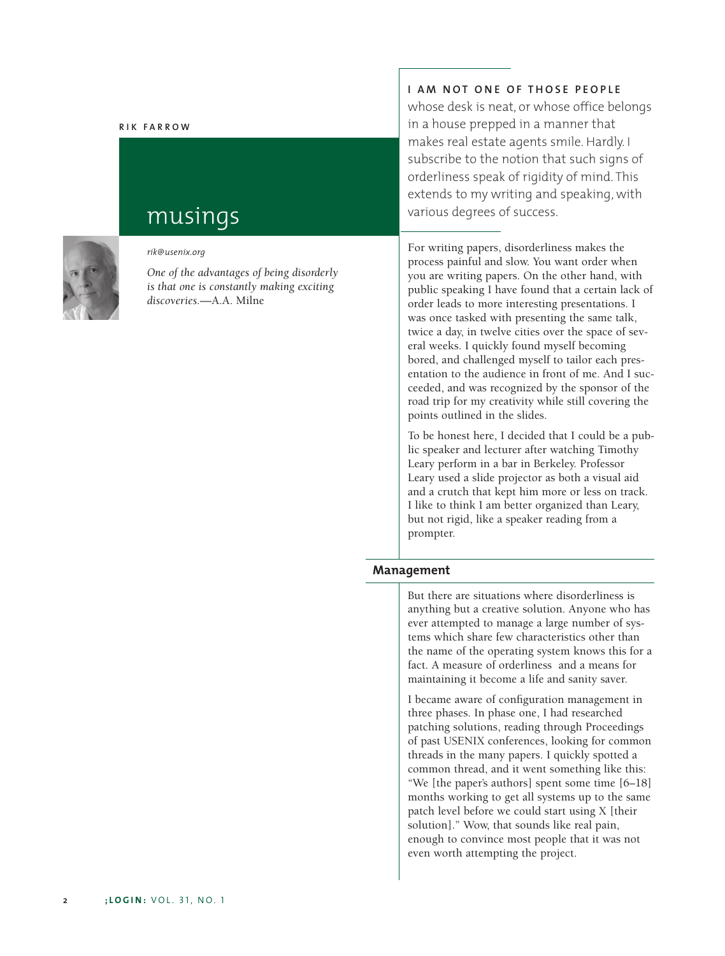#### **R IK FARROW**



# musings

*rik@usenix.org*

*One of the advantages of being disorderly is that one is constantly making exciting discoveries.*—A.A. Milne

# **I AM NOT ONE OF THOSE PEOPLE**

whose desk is neat, or whose office belongs in a house prepped in a manner that makes real estate agents smile. Hardly. I subscribe to the notion that such signs of orderliness speak of rigidity of mind. This extends to my writing and speaking, with various degrees of success.

For writing papers, disorderliness makes the process painful and slow. You want order when you are writing papers. On the other hand, with public speaking I have found that a certain lack of order leads to more interesting presentations. I was once tasked with presenting the same talk, twice a day, in twelve cities over the space of several weeks. I quickly found myself becoming bored, and challenged myself to tailor each presentation to the audience in front of me. And I succeeded, and was recognized by the sponsor of the road trip for my creativity while still covering the points outlined in the slides.

To be honest here, I decided that I could be a public speaker and lecturer after watching Timothy Leary perform in a bar in Berkeley. Professor Leary used a slide projector as both a visual aid and a crutch that kept him more or less on track. I like to think I am better organized than Leary, but not rigid, like a speaker reading from a prompter.

### **Management**

But there are situations where disorderliness is anything but a creative solution. Anyone who has ever attempted to manage a large number of systems which share few characteristics other than the name of the operating system knows this for a fact. A measure of orderliness and a means for maintaining it become a life and sanity saver.

I became aware of configuration management in three phases. In phase one, I had researched patching solutions, reading through Proceedings of past USENIX conferences, looking for common threads in the many papers. I quickly spotted a common thread, and it went something like this: "We [the paper's authors] spent some time [6–18] months working to get all systems up to the same patch level before we could start using X [their solution]." Wow, that sounds like real pain, enough to convince most people that it was not even worth attempting the project.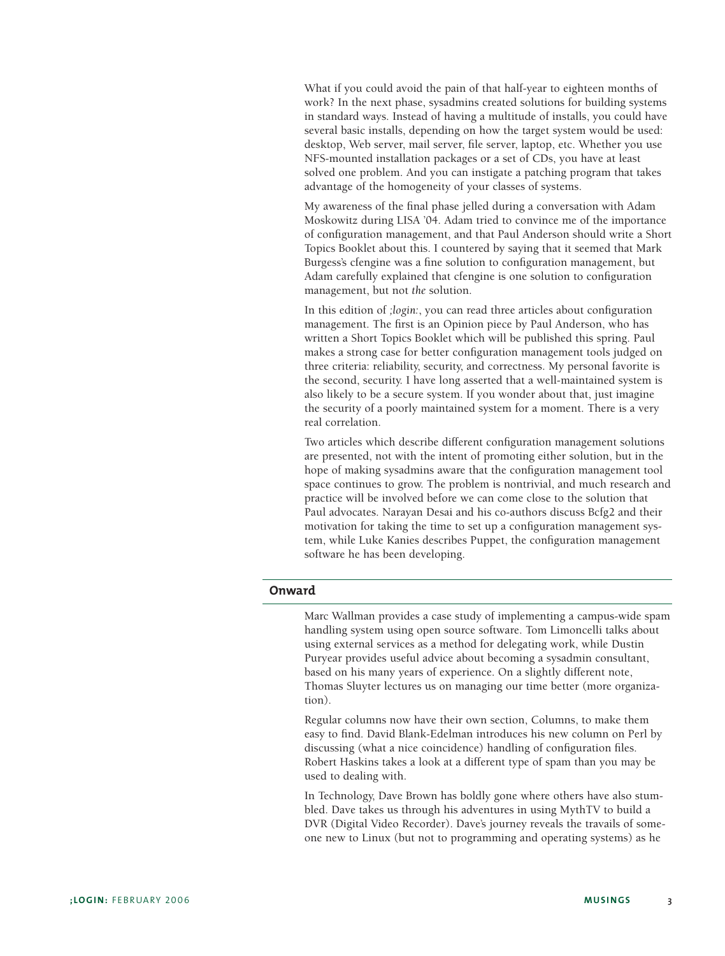What if you could avoid the pain of that half-year to eighteen months of work? In the next phase, sysadmins created solutions for building systems in standard ways. Instead of having a multitude of installs, you could have several basic installs, depending on how the target system would be used: desktop, Web server, mail server, file server, laptop, etc. Whether you use NFS-mounted installation packages or a set of CDs, you have at least solved one problem. And you can instigate a patching program that takes advantage of the homogeneity of your classes of systems.

My awareness of the final phase jelled during a conversation with Adam Moskowitz during LISA '04. Adam tried to convince me of the importance of configuration management, and that Paul Anderson should write a Short Topics Booklet about this. I countered by saying that it seemed that Mark Burgess's cfengine was a fine solution to configuration management, but Adam carefully explained that cfengine is one solution to configuration management, but not *the* solution.

In this edition of *;login:*, you can read three articles about configuration management. The first is an Opinion piece by Paul Anderson, who has written a Short Topics Booklet which will be published this spring. Paul makes a strong case for better configuration management tools judged on three criteria: reliability, security, and correctness. My personal favorite is the second, security. I have long asserted that a well-maintained system is also likely to be a secure system. If you wonder about that, just imagine the security of a poorly maintained system for a moment. There is a very real correlation.

Two articles which describe different configuration management solutions are presented, not with the intent of promoting either solution, but in the hope of making sysadmins aware that the configuration management tool space continues to grow. The problem is nontrivial, and much research and practice will be involved before we can come close to the solution that Paul advocates. Narayan Desai and his co-authors discuss Bcfg2 and their motivation for taking the time to set up a configuration management system, while Luke Kanies describes Puppet, the configuration management software he has been developing.

# **Onward**

Marc Wallman provides a case study of implementing a campus-wide spam handling system using open source software. Tom Limoncelli talks about using external services as a method for delegating work, while Dustin Puryear provides useful advice about becoming a sysadmin consultant, based on his many years of experience. On a slightly different note, Thomas Sluyter lectures us on managing our time better (more organization).

Regular columns now have their own section, Columns, to make them easy to find. David Blank-Edelman introduces his new column on Perl by discussing (what a nice coincidence) handling of configuration files. Robert Haskins takes a look at a different type of spam than you may be used to dealing with.

In Technology, Dave Brown has boldly gone where others have also stumbled. Dave takes us through his adventures in using MythTV to build a DVR (Digital Video Recorder). Dave's journey reveals the travails of someone new to Linux (but not to programming and operating systems) as he